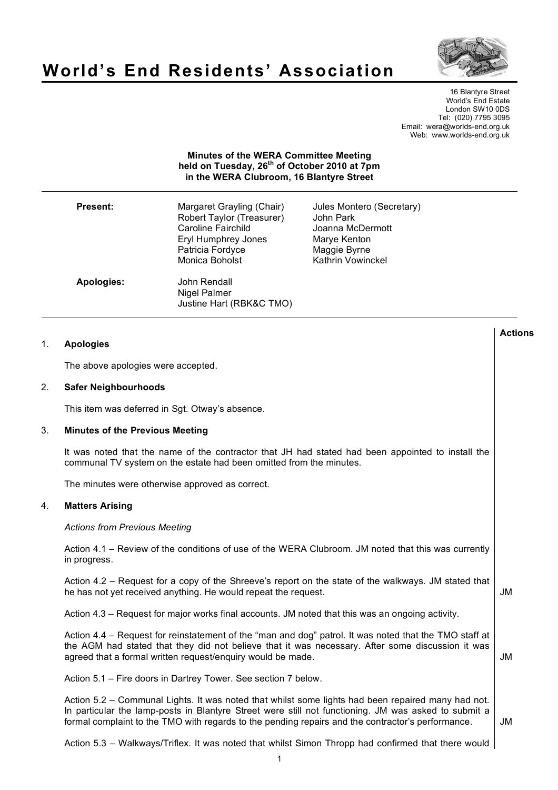# **World's End Residents' Association**



**Actions**

16 Blantyre Street World's End Estate London SW10 0DS Tel: (020) 7795 3095 Email: wera@worlds-end.org.uk Web: www.worlds-end.org.uk

# **Minutes of the WERA Committee Meeting held on Tuesday, 26th of October 2010 at 7pm in the WERA Clubroom, 16 Blantyre Street**

| <b>Present:</b> | Margaret Grayling (Chair)<br>Robert Taylor (Treasurer)<br>Caroline Fairchild<br>Eryl Humphrey Jones<br>Patricia Fordyce<br>Monica Boholst | Jules Montero (Secretary)<br>John Park<br>Joanna McDermott<br>Marye Kenton<br>Maggie Byrne<br><b>Kathrin Vowinckel</b> |
|-----------------|-------------------------------------------------------------------------------------------------------------------------------------------|------------------------------------------------------------------------------------------------------------------------|
| Apologies:      | John Rendall<br>Nigel Palmer<br>Justine Hart (RBK&C TMO)                                                                                  |                                                                                                                        |

| <b>Apologies</b> |  |
|------------------|--|
|------------------|--|

The above apologies were accepted.

# 2. **Safer Neighbourhoods**

This item was deferred in Sqt. Otway's absence.

# 3. **Minutes of the Previous Meeting**

It was noted that the name of the contractor that JH had stated had been appointed to install the communal TV system on the estate had been omitted from the minutes.

The minutes were otherwise approved as correct.

# 4. **Matters Arising**

*Actions from Previous Meeting*

Action 4.1 – Review of the conditions of use of the WERA Clubroom. JM noted that this was currently in progress.

Action 4.2 – Request for a copy of the Shreeve's report on the state of the walkways. JM stated that he has not yet received anything. He would repeat the request. JM

Action 4.3 – Request for major works final accounts. JM noted that this was an ongoing activity.

Action 4.4 – Request for reinstatement of the "man and dog" patrol. It was noted that the TMO staff at the AGM had stated that they did not believe that it was necessary. After some discussion it was agreed that a formal written request/enquiry would be made. JM

Action 5.1 – Fire doors in Dartrey Tower. See section 7 below.

Action 5.2 – Communal Lights. It was noted that whilst some lights had been repaired many had not. In particular the lamp-posts in Blantyre Street were still not functioning. JM was asked to submit a formal complaint to the TMO with regards to the pending repairs and the contractor's performance. JM

Action 5.3 – Walkways/Triflex. It was noted that whilst Simon Thropp had confirmed that there would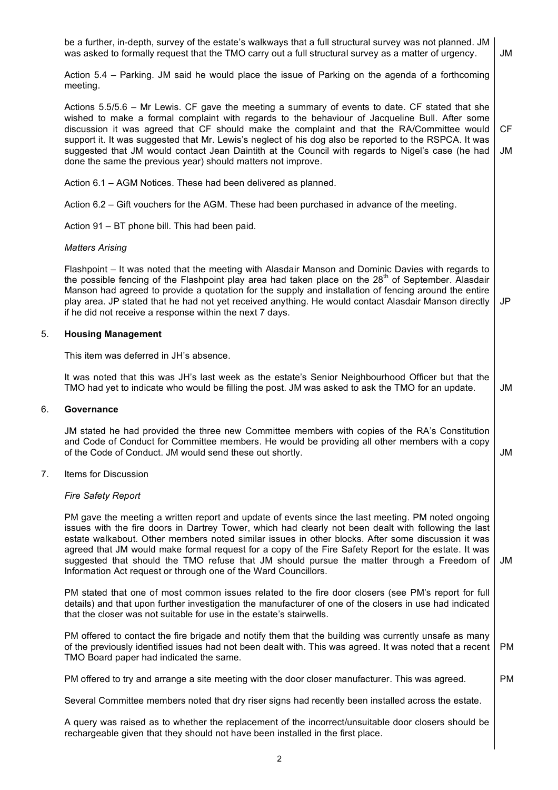|    | be a further, in-depth, survey of the estate's walkways that a full structural survey was not planned. JM<br>was asked to formally request that the TMO carry out a full structural survey as a matter of urgency.                                                                                                                                                                                                                                                                                                                                                                         | JM        |  |
|----|--------------------------------------------------------------------------------------------------------------------------------------------------------------------------------------------------------------------------------------------------------------------------------------------------------------------------------------------------------------------------------------------------------------------------------------------------------------------------------------------------------------------------------------------------------------------------------------------|-----------|--|
|    | Action 5.4 – Parking. JM said he would place the issue of Parking on the agenda of a forthcoming<br>meeting.                                                                                                                                                                                                                                                                                                                                                                                                                                                                               |           |  |
|    | Actions 5.5/5.6 – Mr Lewis. CF gave the meeting a summary of events to date. CF stated that she<br>wished to make a formal complaint with regards to the behaviour of Jacqueline Bull. After some<br>discussion it was agreed that CF should make the complaint and that the RA/Committee would<br>support it. It was suggested that Mr. Lewis's neglect of his dog also be reported to the RSPCA. It was<br>suggested that JM would contact Jean Daintith at the Council with regards to Nigel's case (he had<br>done the same the previous year) should matters not improve.             | CF<br>JM  |  |
|    | Action 6.1 - AGM Notices. These had been delivered as planned.                                                                                                                                                                                                                                                                                                                                                                                                                                                                                                                             |           |  |
|    | Action 6.2 – Gift vouchers for the AGM. These had been purchased in advance of the meeting.                                                                                                                                                                                                                                                                                                                                                                                                                                                                                                |           |  |
|    | Action 91 - BT phone bill. This had been paid.                                                                                                                                                                                                                                                                                                                                                                                                                                                                                                                                             |           |  |
|    | <b>Matters Arising</b>                                                                                                                                                                                                                                                                                                                                                                                                                                                                                                                                                                     |           |  |
|    | Flashpoint – It was noted that the meeting with Alasdair Manson and Dominic Davies with regards to<br>the possible fencing of the Flashpoint play area had taken place on the 28 <sup>th</sup> of September. Alasdair<br>Manson had agreed to provide a quotation for the supply and installation of fencing around the entire<br>play area. JP stated that he had not yet received anything. He would contact Alasdair Manson directly<br>if he did not receive a response within the next 7 days.                                                                                        | JP        |  |
| 5. | <b>Housing Management</b>                                                                                                                                                                                                                                                                                                                                                                                                                                                                                                                                                                  |           |  |
|    | This item was deferred in JH's absence.                                                                                                                                                                                                                                                                                                                                                                                                                                                                                                                                                    |           |  |
|    | It was noted that this was JH's last week as the estate's Senior Neighbourhood Officer but that the<br>TMO had yet to indicate who would be filling the post. JM was asked to ask the TMO for an update.                                                                                                                                                                                                                                                                                                                                                                                   | JM        |  |
| 6. | Governance                                                                                                                                                                                                                                                                                                                                                                                                                                                                                                                                                                                 |           |  |
|    | JM stated he had provided the three new Committee members with copies of the RA's Constitution<br>and Code of Conduct for Committee members. He would be providing all other members with a copy<br>of the Code of Conduct. JM would send these out shortly.                                                                                                                                                                                                                                                                                                                               | JM        |  |
| 7. | Items for Discussion                                                                                                                                                                                                                                                                                                                                                                                                                                                                                                                                                                       |           |  |
|    | <b>Fire Safety Report</b>                                                                                                                                                                                                                                                                                                                                                                                                                                                                                                                                                                  |           |  |
|    | PM gave the meeting a written report and update of events since the last meeting. PM noted ongoing<br>issues with the fire doors in Dartrey Tower, which had clearly not been dealt with following the last<br>estate walkabout. Other members noted similar issues in other blocks. After some discussion it was<br>agreed that JM would make formal request for a copy of the Fire Safety Report for the estate. It was<br>suggested that should the TMO refuse that JM should pursue the matter through a Freedom of<br>Information Act request or through one of the Ward Councillors. | JM        |  |
|    | PM stated that one of most common issues related to the fire door closers (see PM's report for full<br>details) and that upon further investigation the manufacturer of one of the closers in use had indicated<br>that the closer was not suitable for use in the estate's stairwells.                                                                                                                                                                                                                                                                                                    |           |  |
|    | PM offered to contact the fire brigade and notify them that the building was currently unsafe as many<br>of the previously identified issues had not been dealt with. This was agreed. It was noted that a recent<br>TMO Board paper had indicated the same.                                                                                                                                                                                                                                                                                                                               | <b>PM</b> |  |
|    | PM offered to try and arrange a site meeting with the door closer manufacturer. This was agreed.                                                                                                                                                                                                                                                                                                                                                                                                                                                                                           | <b>PM</b> |  |
|    | Several Committee members noted that dry riser signs had recently been installed across the estate.                                                                                                                                                                                                                                                                                                                                                                                                                                                                                        |           |  |
|    |                                                                                                                                                                                                                                                                                                                                                                                                                                                                                                                                                                                            |           |  |

A query was raised as to whether the replacement of the incorrect/unsuitable door closers should be rechargeable given that they should not have been installed in the first place.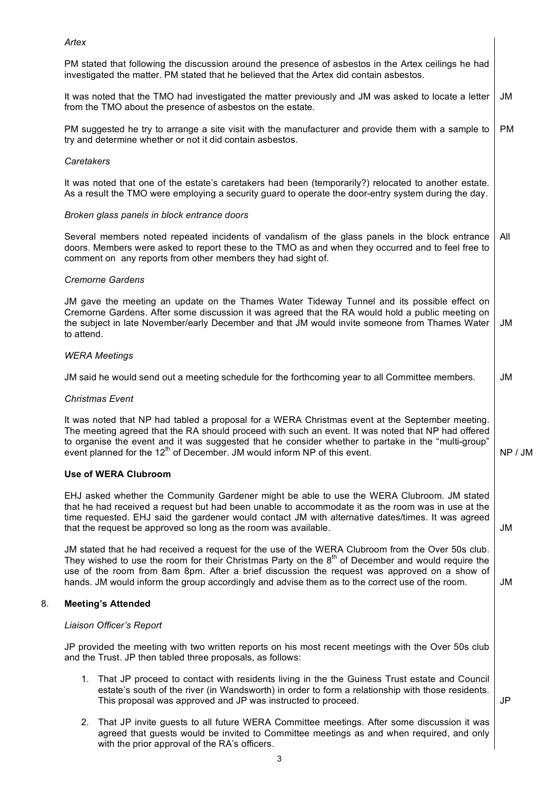## *Artex*

PM stated that following the discussion around the presence of asbestos in the Artex ceilings he had investigated the matter. PM stated that he believed that the Artex did contain asbestos.

It was noted that the TMO had investigated the matter previously and JM was asked to locate a letter from the TMO about the presence of asbestos on the estate. JM

PM suggested he try to arrange a site visit with the manufacturer and provide them with a sample to try and determine whether or not it did contain asbestos. PM

### *Caretakers*

It was noted that one of the estate's caretakers had been (temporarily?) relocated to another estate. As a result the TMO were employing a security guard to operate the door-entry system during the day.

### *Broken glass panels in block entrance doors*

Several members noted repeated incidents of vandalism of the glass panels in the block entrance doors. Members were asked to report these to the TMO as and when they occurred and to feel free to comment on any reports from other members they had sight of. All

### *Cremorne Gardens*

JM gave the meeting an update on the Thames Water Tideway Tunnel and its possible effect on Cremorne Gardens. After some discussion it was agreed that the RA would hold a public meeting on the subject in late November/early December and that JM would invite someone from Thames Water to attend. JM

## *WERA Meetings*

JM said he would send out a meeting schedule for the forthcoming year to all Committee members. JM

#### *Christmas Event*

It was noted that NP had tabled a proposal for a WERA Christmas event at the September meeting. The meeting agreed that the RA should proceed with such an event. It was noted that NP had offered to organise the event and it was suggested that he consider whether to partake in the "multi-group" event planned for the  $12<sup>th</sup>$  of December. JM would inform NP of this event.

#### **Use of WERA Clubroom**

EHJ asked whether the Community Gardener might be able to use the WERA Clubroom. JM stated that he had received a request but had been unable to accommodate it as the room was in use at the time requested. EHJ said the gardener would contact JM with alternative dates/times. It was agreed that the request be approved so long as the room was available.

JM stated that he had received a request for the use of the WERA Clubroom from the Over 50s club. They wished to use the room for their Christmas Party on the  $8<sup>th</sup>$  of December and would require the use of the room from 8am 8pm. After a brief discussion the request was approved on a show of hands. JM would inform the group accordingly and advise them as to the correct use of the room.

# 8. **Meeting's Attended**

# *Liaison Officer's Report*

JP provided the meeting with two written reports on his most recent meetings with the Over 50s club and the Trust. JP then tabled three proposals, as follows:

1. That JP proceed to contact with residents living in the the Guiness Trust estate and Council estate's south of the river (in Wandsworth) in order to form a relationship with those residents. This proposal was approved and JP was instructed to proceed.

JP

NP / JM

JM

JM

2. That JP invite guests to all future WERA Committee meetings. After some discussion it was agreed that guests would be invited to Committee meetings as and when required, and only with the prior approval of the RA's officers.